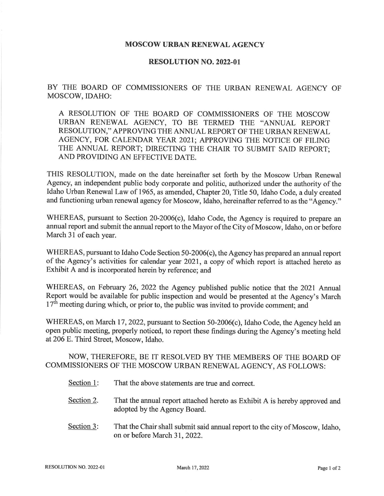## MOSCOW URBAN RENEWAL AGENCY

## RESOLUTION NO. 2O22.OI

BY THE BOARD OF COMMISSIONERS OF THE URBAN RENEWAL AGENCY OF MOSCOW, IDAHO:

A RESOLUTION OF THE BOARD OF COMMISSIONERS OF THE MOSCOW URBAN RENEWAL AGENCY, TO BE TERMED THE "ANNUAL REPORT RESOLUTION,'' APPROVING THE ANNUAL REPORT OF THE URBAN RENEWAL AGENCY, FOR CALENDAR YEAR 2O2I; APPROVING THE NOTICE OF FILING THE ANNUAL REPORT; DIRECTING THE CHAIR TO SUBMIT SAID REPORT; AND PROVIDING AN EFFECTIVE DATE.

THIS RESOLUTION, made on the date hereinafter set forth by the Moscow Urban Renewal Agency, an independent public body corporate and politic, authorized under the authority of the Idaho Urban Renewal Law of 1965, as amended, Chapter 20, Title 50, Idaho Code, a duly created and functioning urban renewal agency for Moscow, Idaho, hereinafter referred to as the "Agency."

WHEREAS, pursuant to Section 20-2006(c), Idaho Code, the Agency is required to prepare an annual report and submit the annual report to the Mayor of the City of Moscow, Idaho, on or before March 31 of each year.

WHEREAS, pursuant to Idaho Code Section 50-2006(c), the Agency has prepared an annual report of the Agency's activities for calendar year 2021, a copy of which report is attached hereto as Exhibit A and is incorporated herein by reference; and

WHEREAS, on February 26, 2022 the Agency published public notice that the 2021 Annual Report would be available for public inspection and would be presented at the Agency's March  $17<sup>th</sup>$  meeting during which, or prior to, the public was invited to provide comment; and

WHEREAS, on March 17,2022, pursuant to Section 50-2006(c), Idaho Code, the Agency held an open public meeting, properly noticed, to report these findings during the Agency's meeting held at206 E. Third Street, Moscow, Idaho.

## NOW, THEREFORE, BE IT RESOLVED BY THE MEMBERS OF THE BOARD OF COMMISSIONERS OF THE MOSCOW URBAN RENEWAL AGENCY, AS FOLLOWS:

- Section 1: That the above statements are true and correct.
- Section 2. That the annual report attached hereto as Exhibit A is hereby approved and adopted by the Agency Board.
- Section 3: That the Chair shall submit said annual report to the city of Moscow, Idaho, on or before March 31, 2022.